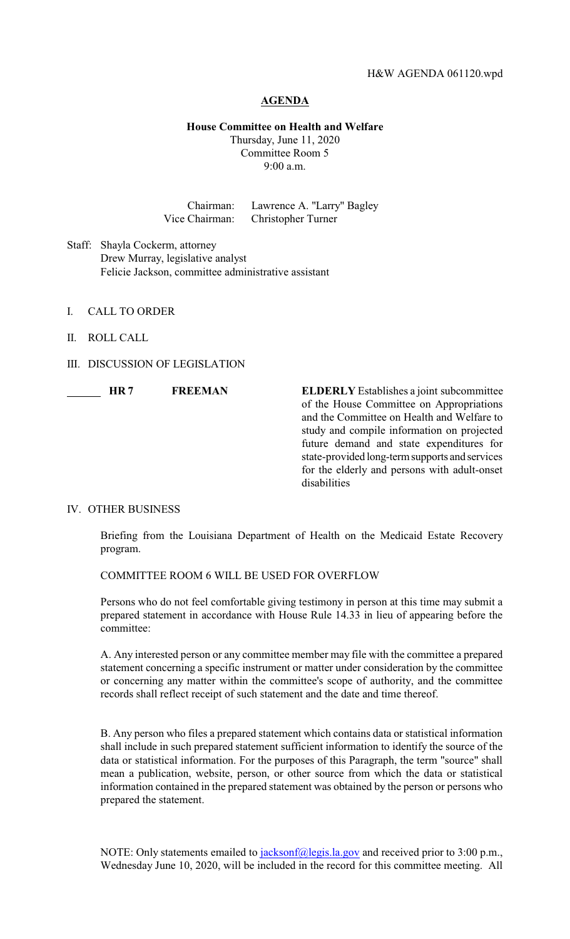#### **AGENDA**

### **House Committee on Health and Welfare**

Thursday, June 11, 2020 Committee Room 5 9:00 a.m.

Chairman: Lawrence A. "Larry" Bagley Vice Chairman: Christopher Turner

Staff: Shayla Cockerm, attorney Drew Murray, legislative analyst Felicie Jackson, committee administrative assistant

- I. CALL TO ORDER
- II. ROLL CALL
- III. DISCUSSION OF LEGISLATION

**HR 7 FREEMAN ELDERLY** Establishes a joint subcommittee of the House Committee on Appropriations and the Committee on Health and Welfare to study and compile information on projected future demand and state expenditures for state-provided long-termsupports and services for the elderly and persons with adult-onset disabilities

## IV. OTHER BUSINESS

Briefing from the Louisiana Department of Health on the Medicaid Estate Recovery program.

COMMITTEE ROOM 6 WILL BE USED FOR OVERFLOW

Persons who do not feel comfortable giving testimony in person at this time may submit a prepared statement in accordance with House Rule 14.33 in lieu of appearing before the committee:

A. Any interested person or any committee member may file with the committee a prepared statement concerning a specific instrument or matter under consideration by the committee or concerning any matter within the committee's scope of authority, and the committee records shall reflect receipt of such statement and the date and time thereof.

B. Any person who files a prepared statement which contains data or statistical information shall include in such prepared statement sufficient information to identify the source of the data or statistical information. For the purposes of this Paragraph, the term "source" shall mean a publication, website, person, or other source from which the data or statistical information contained in the prepared statement was obtained by the person or persons who prepared the statement.

NOTE: Only statements emailed to [jacksonf@legis.la.gov](mailto:jacksonf@legis.la.gov) and received prior to 3:00 p.m., Wednesday June 10, 2020, will be included in the record for this committee meeting. All